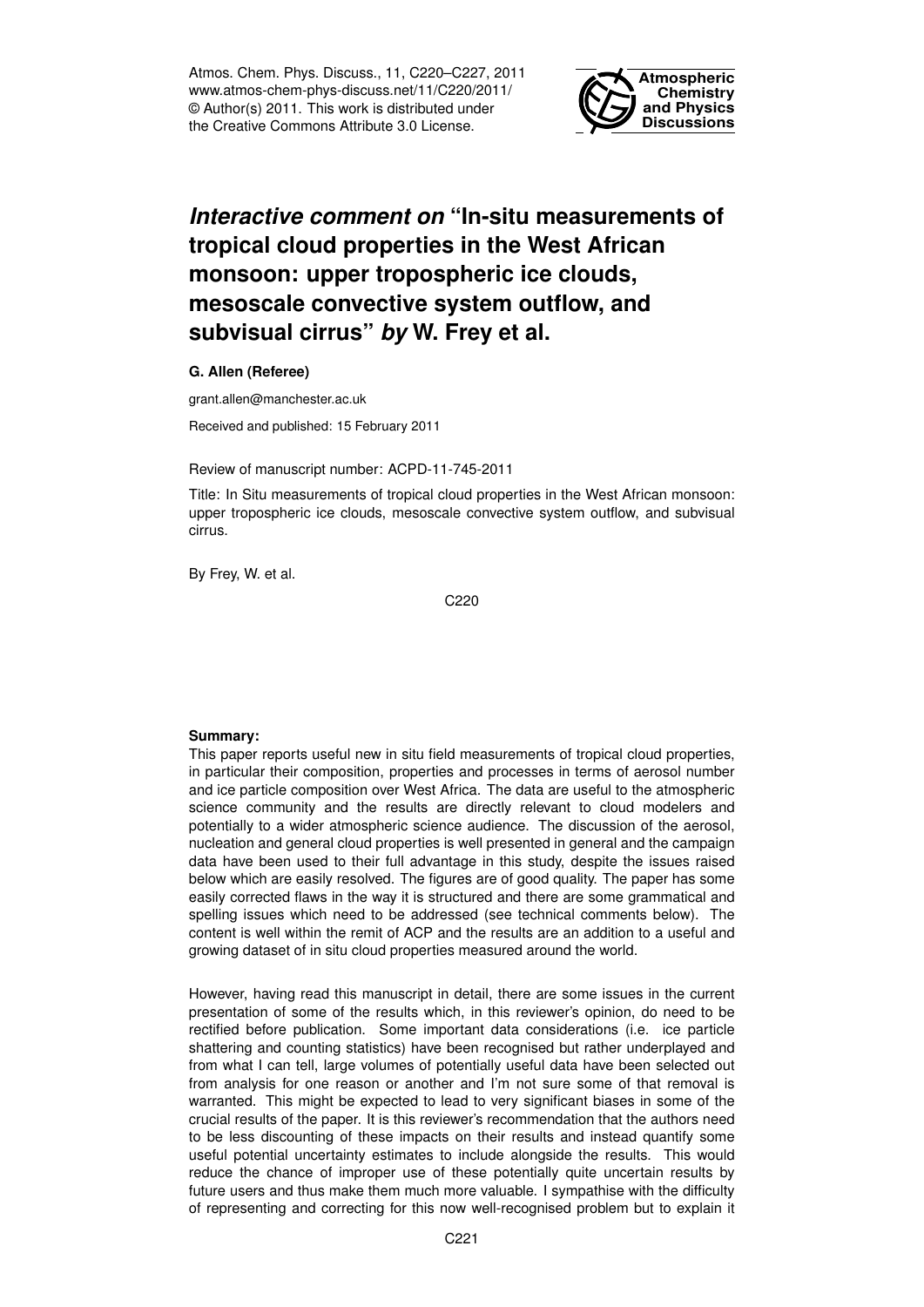Atmos. Chem. Phys. Discuss., 11, C220–C227, 2011 www.atmos-chem-phys-discuss.net/11/C220/2011/ © Author(s) 2011. This work is distributed under the Creative Commons Attribute 3.0 License.



# *Interactive comment on* **"In-situ measurements of tropical cloud properties in the West African monsoon: upper tropospheric ice clouds, mesoscale convective system outflow, and subvisual cirrus"** *by* **W. Frey et al.**

**G. Allen (Referee)**

grant.allen@manchester.ac.uk

Received and published: 15 February 2011

Review of manuscript number: ACPD-11-745-2011

Title: In Situ measurements of tropical cloud properties in the West African monsoon: upper tropospheric ice clouds, mesoscale convective system outflow, and subvisual cirrus.

By Frey, W. et al.

C220

## **Summary:**

This paper reports useful new in situ field measurements of tropical cloud properties, in particular their composition, properties and processes in terms of aerosol number and ice particle composition over West Africa. The data are useful to the atmospheric science community and the results are directly relevant to cloud modelers and potentially to a wider atmospheric science audience. The discussion of the aerosol, nucleation and general cloud properties is well presented in general and the campaign data have been used to their full advantage in this study, despite the issues raised below which are easily resolved. The figures are of good quality. The paper has some easily corrected flaws in the way it is structured and there are some grammatical and spelling issues which need to be addressed (see technical comments below). The content is well within the remit of ACP and the results are an addition to a useful and growing dataset of in situ cloud properties measured around the world.

However, having read this manuscript in detail, there are some issues in the current presentation of some of the results which, in this reviewer's opinion, do need to be rectified before publication. Some important data considerations (i.e. ice particle shattering and counting statistics) have been recognised but rather underplayed and from what I can tell, large volumes of potentially useful data have been selected out from analysis for one reason or another and I'm not sure some of that removal is warranted. This might be expected to lead to very significant biases in some of the crucial results of the paper. It is this reviewer's recommendation that the authors need to be less discounting of these impacts on their results and instead quantify some useful potential uncertainty estimates to include alongside the results. This would reduce the chance of improper use of these potentially quite uncertain results by future users and thus make them much more valuable. I sympathise with the difficulty of representing and correcting for this now well-recognised problem but to explain it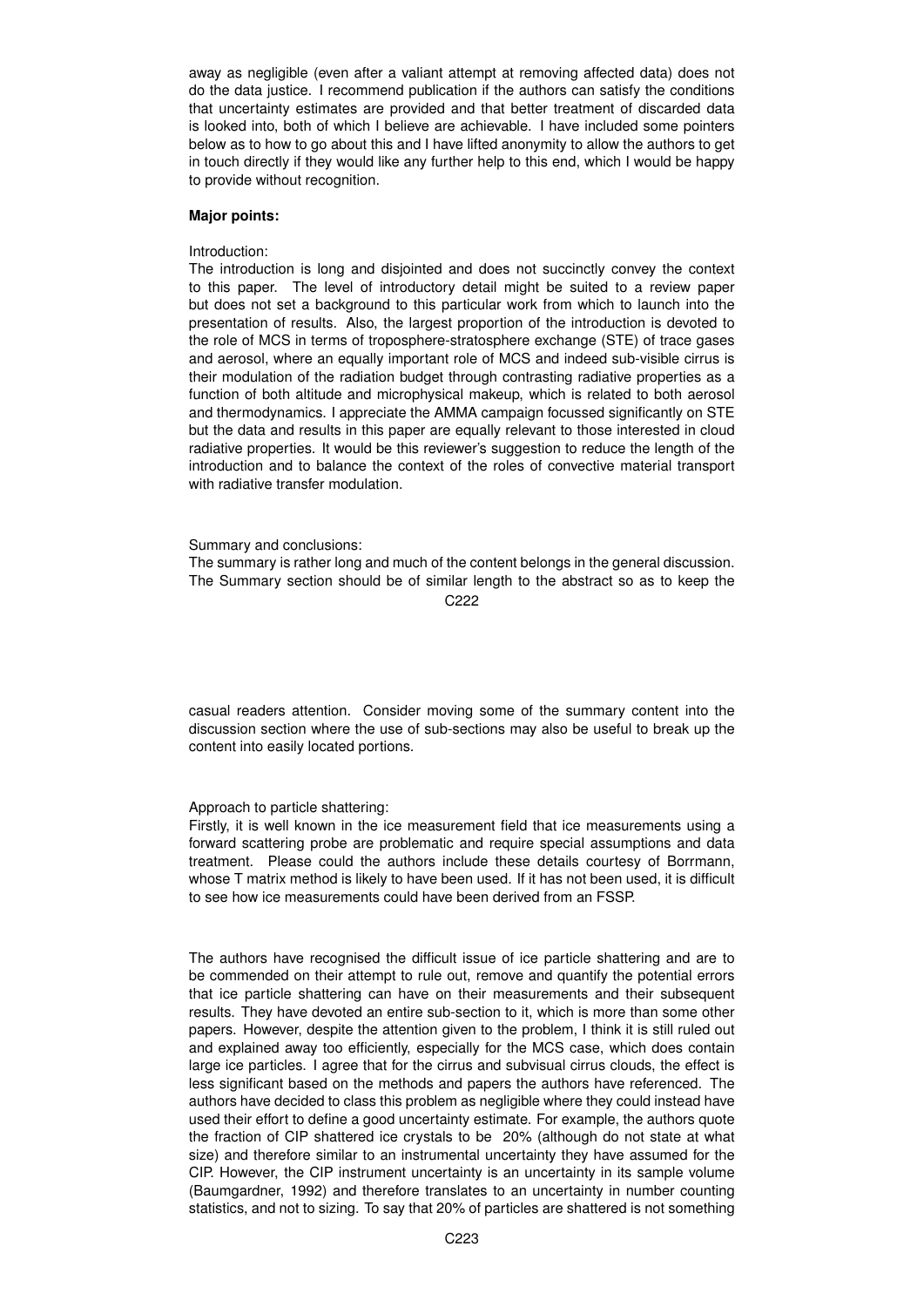away as negligible (even after a valiant attempt at removing affected data) does not do the data justice. I recommend publication if the authors can satisfy the conditions that uncertainty estimates are provided and that better treatment of discarded data is looked into, both of which I believe are achievable. I have included some pointers below as to how to go about this and I have lifted anonymity to allow the authors to get in touch directly if they would like any further help to this end, which I would be happy to provide without recognition.

## **Major points:**

#### Introduction:

The introduction is long and disjointed and does not succinctly convey the context to this paper. The level of introductory detail might be suited to a review paper but does not set a background to this particular work from which to launch into the presentation of results. Also, the largest proportion of the introduction is devoted to the role of MCS in terms of troposphere-stratosphere exchange (STE) of trace gases and aerosol, where an equally important role of MCS and indeed sub-visible cirrus is their modulation of the radiation budget through contrasting radiative properties as a function of both altitude and microphysical makeup, which is related to both aerosol and thermodynamics. I appreciate the AMMA campaign focussed significantly on STE but the data and results in this paper are equally relevant to those interested in cloud radiative properties. It would be this reviewer's suggestion to reduce the length of the introduction and to balance the context of the roles of convective material transport with radiative transfer modulation.

Summary and conclusions:

The summary is rather long and much of the content belongs in the general discussion. The Summary section should be of similar length to the abstract so as to keep the C<sub>222</sub>

casual readers attention. Consider moving some of the summary content into the discussion section where the use of sub-sections may also be useful to break up the content into easily located portions.

Approach to particle shattering:

Firstly, it is well known in the ice measurement field that ice measurements using a forward scattering probe are problematic and require special assumptions and data treatment. Please could the authors include these details courtesy of Borrmann, whose T matrix method is likely to have been used. If it has not been used, it is difficult to see how ice measurements could have been derived from an FSSP.

The authors have recognised the difficult issue of ice particle shattering and are to be commended on their attempt to rule out, remove and quantify the potential errors that ice particle shattering can have on their measurements and their subsequent results. They have devoted an entire sub-section to it, which is more than some other papers. However, despite the attention given to the problem, I think it is still ruled out and explained away too efficiently, especially for the MCS case, which does contain large ice particles. I agree that for the cirrus and subvisual cirrus clouds, the effect is less significant based on the methods and papers the authors have referenced. The authors have decided to class this problem as negligible where they could instead have used their effort to define a good uncertainty estimate. For example, the authors quote the fraction of CIP shattered ice crystals to be 20% (although do not state at what size) and therefore similar to an instrumental uncertainty they have assumed for the CIP. However, the CIP instrument uncertainty is an uncertainty in its sample volume (Baumgardner, 1992) and therefore translates to an uncertainty in number counting statistics, and not to sizing. To say that 20% of particles are shattered is not something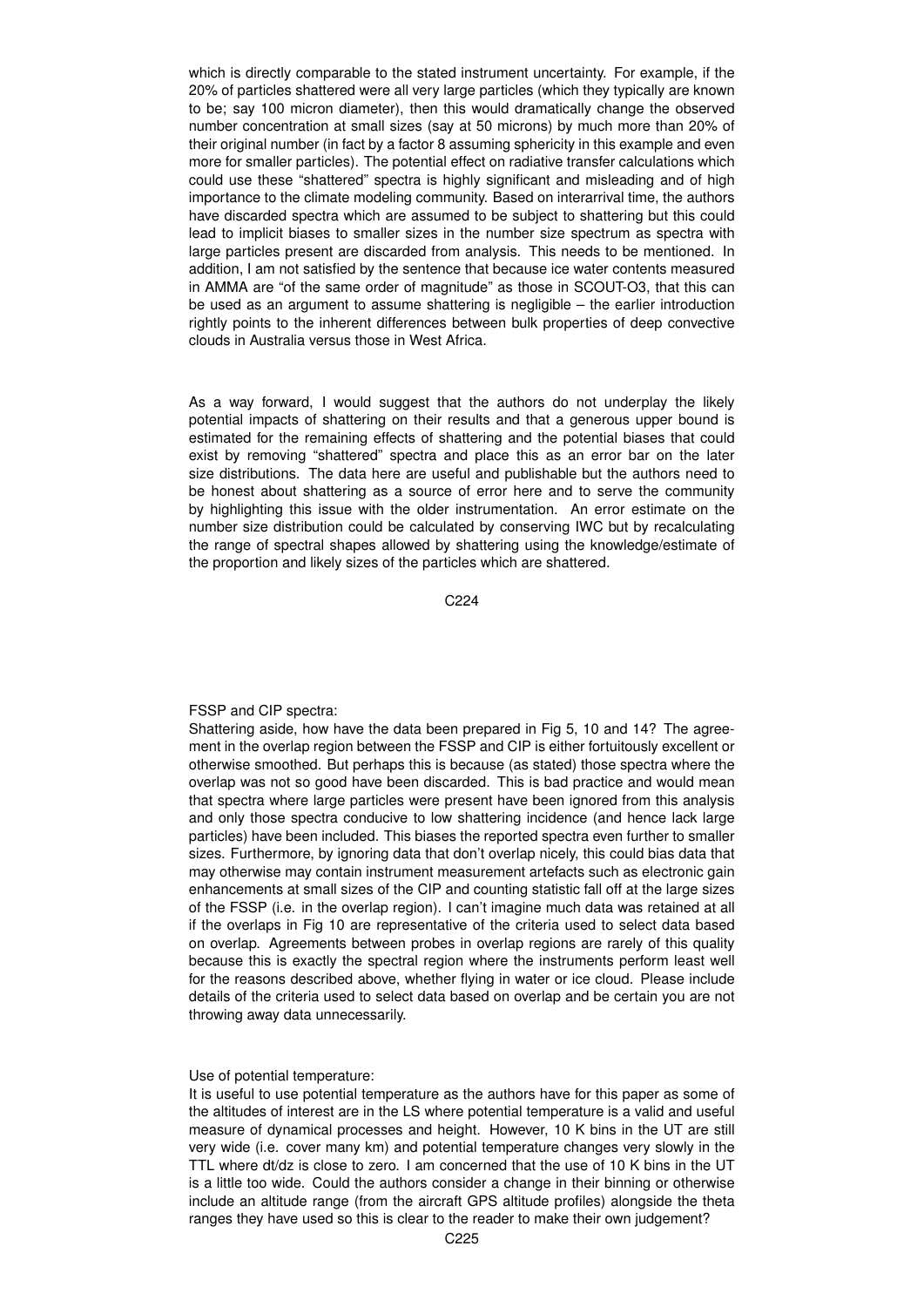which is directly comparable to the stated instrument uncertainty. For example, if the 20% of particles shattered were all very large particles (which they typically are known to be; say 100 micron diameter), then this would dramatically change the observed number concentration at small sizes (say at 50 microns) by much more than 20% of their original number (in fact by a factor 8 assuming sphericity in this example and even more for smaller particles). The potential effect on radiative transfer calculations which could use these "shattered" spectra is highly significant and misleading and of high importance to the climate modeling community. Based on interarrival time, the authors have discarded spectra which are assumed to be subject to shattering but this could lead to implicit biases to smaller sizes in the number size spectrum as spectra with large particles present are discarded from analysis. This needs to be mentioned. In addition, I am not satisfied by the sentence that because ice water contents measured in AMMA are "of the same order of magnitude" as those in SCOUT-O3, that this can be used as an argument to assume shattering is negligible – the earlier introduction rightly points to the inherent differences between bulk properties of deep convective clouds in Australia versus those in West Africa.

As a way forward, I would suggest that the authors do not underplay the likely potential impacts of shattering on their results and that a generous upper bound is estimated for the remaining effects of shattering and the potential biases that could exist by removing "shattered" spectra and place this as an error bar on the later size distributions. The data here are useful and publishable but the authors need to be honest about shattering as a source of error here and to serve the community by highlighting this issue with the older instrumentation. An error estimate on the number size distribution could be calculated by conserving IWC but by recalculating the range of spectral shapes allowed by shattering using the knowledge/estimate of the proportion and likely sizes of the particles which are shattered.

C224

FSSP and CIP spectra:

Shattering aside, how have the data been prepared in Fig 5, 10 and 14? The agreement in the overlap region between the FSSP and CIP is either fortuitously excellent or otherwise smoothed. But perhaps this is because (as stated) those spectra where the overlap was not so good have been discarded. This is bad practice and would mean that spectra where large particles were present have been ignored from this analysis and only those spectra conducive to low shattering incidence (and hence lack large particles) have been included. This biases the reported spectra even further to smaller sizes. Furthermore, by ignoring data that don't overlap nicely, this could bias data that may otherwise may contain instrument measurement artefacts such as electronic gain enhancements at small sizes of the CIP and counting statistic fall off at the large sizes of the FSSP (i.e. in the overlap region). I can't imagine much data was retained at all if the overlaps in Fig 10 are representative of the criteria used to select data based on overlap. Agreements between probes in overlap regions are rarely of this quality because this is exactly the spectral region where the instruments perform least well for the reasons described above, whether flying in water or ice cloud. Please include details of the criteria used to select data based on overlap and be certain you are not throwing away data unnecessarily.

Use of potential temperature:

It is useful to use potential temperature as the authors have for this paper as some of the altitudes of interest are in the LS where potential temperature is a valid and useful measure of dynamical processes and height. However, 10 K bins in the UT are still very wide (i.e. cover many km) and potential temperature changes very slowly in the TTL where dt/dz is close to zero. I am concerned that the use of 10 K bins in the UT is a little too wide. Could the authors consider a change in their binning or otherwise include an altitude range (from the aircraft GPS altitude profiles) alongside the theta ranges they have used so this is clear to the reader to make their own judgement?